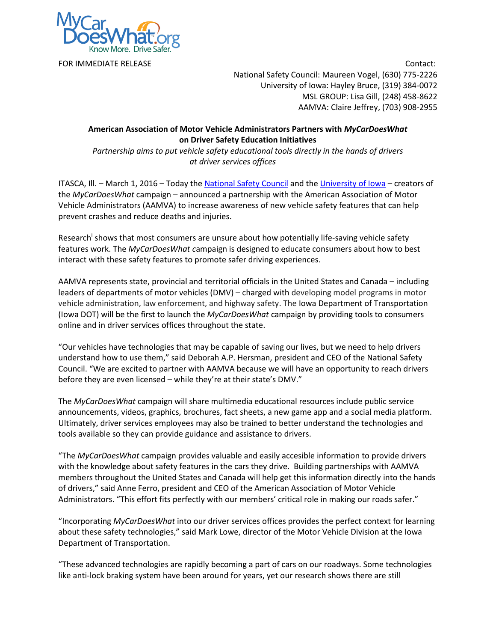

FOR IMMEDIATE RELEASE **CONTACT IN A SET OF A SET OF A SET OF A SET OF A SET OF A SET OF A SET OF A SET OF A SET OF A SET OF A SET OF A SET OF A SET OF A SET OF A SET OF A SET OF A SET OF A SET OF A SET OF A SET OF A SET OF** National Safety Council: Maureen Vogel, (630) 775-2226 University of Iowa: Hayley Bruce, (319) 384-0072 MSL GROUP: Lisa Gill, (248) 458-8622 AAMVA: Claire Jeffrey, (703) 908-2955

## **American Association of Motor Vehicle Administrators Partners with** *MyCarDoesWhat* **on Driver Safety Education Initiatives**

*Partnership aims to put vehicle safety educational tools directly in the hands of drivers at driver services offices*

ITASCA, Ill. – March 1, 2016 – Today the [National Safety Council](http://www.nsc.org/) and the [University of Iowa](http://ppc.uiowa.edu/tvs) – creators of the *MyCarDoesWhat* campaign – announced a partnership with the American Association of Motor Vehicle Administrators (AAMVA) to increase awareness of new vehicle safety features that can help prevent crashes and reduce deaths and injuries.

Research<sup>i</sup> shows that most consumers are unsure about how potentially life-saving vehicle safety features work. The *MyCarDoesWhat c*ampaign is designed to educate consumers about how to best interact with these safety features to promote safer driving experiences.

AAMVA represents state, provincial and territorial officials in the United States and Canada – including leaders of departments of motor vehicles (DMV) – charged with developing model programs in motor vehicle administration, law enforcement, and highway safety. The Iowa Department of Transportation (Iowa DOT) will be the first to launch the *MyCarDoesWhat* campaign by providing tools to consumers online and in driver services offices throughout the state.

"Our vehicles have technologies that may be capable of saving our lives, but we need to help drivers understand how to use them," said Deborah A.P. Hersman, president and CEO of the National Safety Council. "We are excited to partner with AAMVA because we will have an opportunity to reach drivers before they are even licensed – while they're at their state's DMV."

The *MyCarDoesWhat* campaign will share multimedia educational resources include public service announcements, videos, graphics, brochures, fact sheets, a new game app and a social media platform. Ultimately, driver services employees may also be trained to better understand the technologies and tools available so they can provide guidance and assistance to drivers.

"The *MyCarDoesWhat* campaign provides valuable and easily accesible information to provide drivers with the knowledge about safety features in the cars they drive. Building partnerships with AAMVA members throughout the United States and Canada will help get this information directly into the hands of drivers," said Anne Ferro, president and CEO of the American Association of Motor Vehicle Administrators. "This effort fits perfectly with our members' critical role in making our roads safer."

"Incorporating *MyCarDoesWhat* into our driver services offices provides the perfect context for learning about these safety technologies," said Mark Lowe, director of the Motor Vehicle Division at the Iowa Department of Transportation.

"These advanced technologies are rapidly becoming a part of cars on our roadways. Some technologies like anti-lock braking system have been around for years, yet our research shows there are still